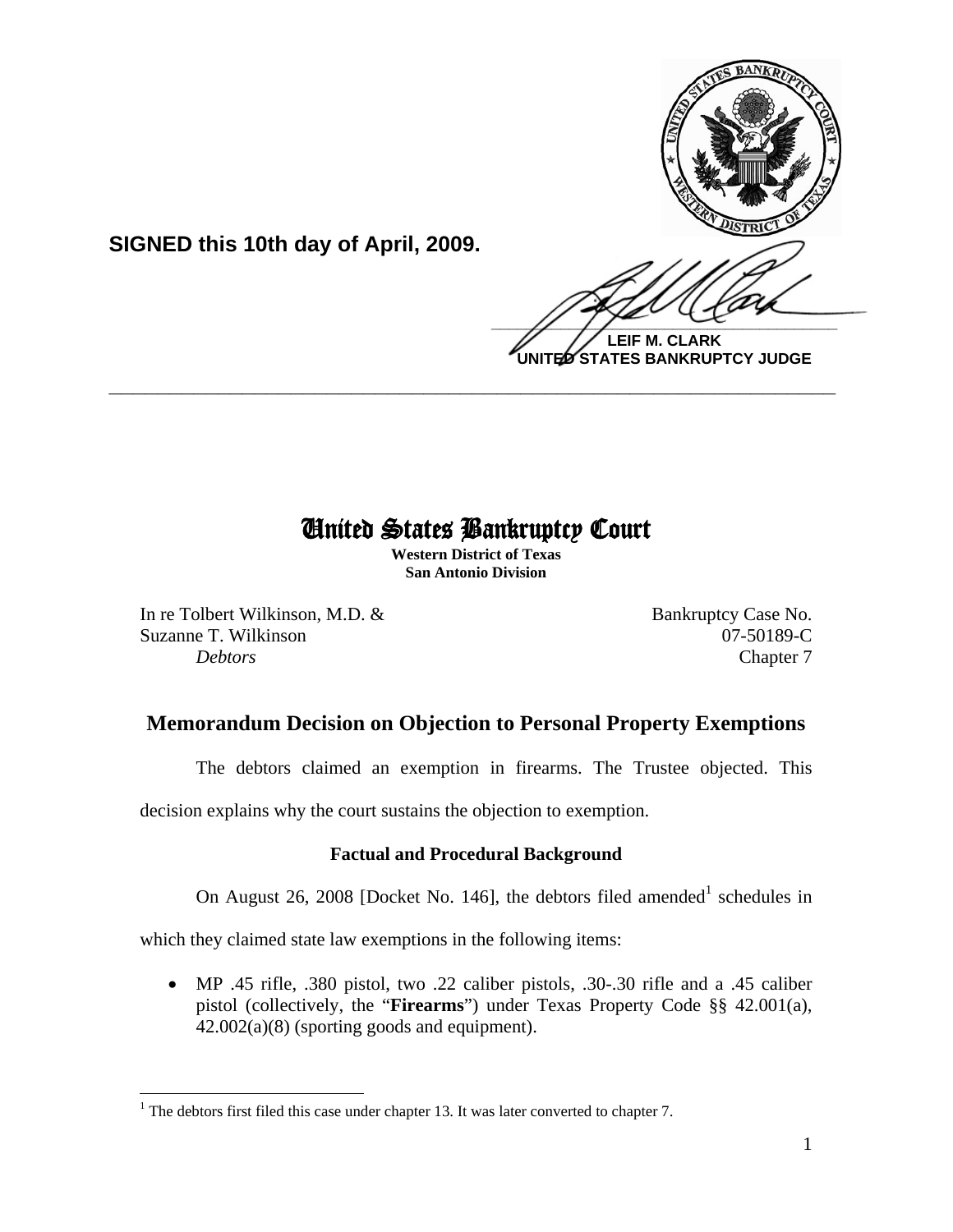

**LEIF M. CLARK UNITED STATES BANKRUPTCY JUDGE**

# United States Bankruptcy Court

 $\overline{a}$ 

**\_\_\_\_\_\_\_\_\_\_\_\_\_\_\_\_\_\_\_\_\_\_\_\_\_\_\_\_\_\_\_\_\_\_\_\_\_\_\_\_\_\_\_\_\_\_\_\_\_\_\_\_\_\_\_\_\_\_\_\_**

**Western District of Texas San Antonio Division**

In re Tolbert Wilkinson, M.D. & Bankruptcy Case No. Suzanne T. Wilkinson 07-50189-C **Debtors** Chapter 7

**SIGNED this 10th day of April, 2009.**

# **Memorandum Decision on Objection to Personal Property Exemptions**

The debtors claimed an exemption in firearms. The Trustee objected. This

decision explains why the court sustains the objection to exemption.

## **Factual and Procedural Background**

On August 26, 2008 [Docket No. 146], the debtors filed amended schedules in

which they claimed state law exemptions in the following items:

• MP .45 rifle, .380 pistol, two .22 caliber pistols, .30-.30 rifle and a .45 caliber pistol (collectively, the "**Firearms**") under Texas Property Code §§ 42.001(a), 42.002(a)(8) (sporting goods and equipment).

 $\overline{a}$ <sup>1</sup> The debtors first filed this case under chapter 13. It was later converted to chapter 7.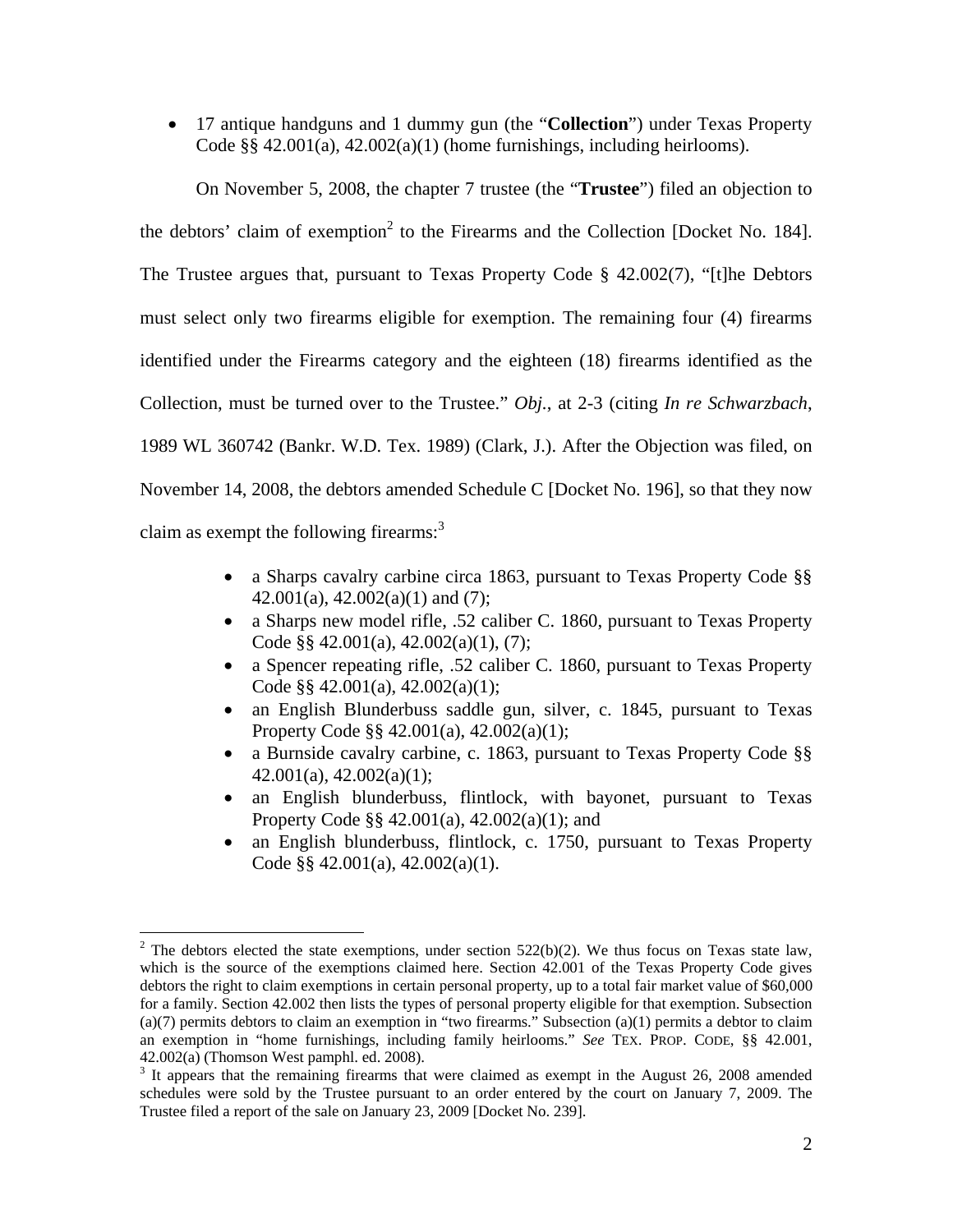• 17 antique handguns and 1 dummy gun (the "**Collection**") under Texas Property Code  $\S$ § 42.001(a), 42.002(a)(1) (home furnishings, including heirlooms).

On November 5, 2008, the chapter 7 trustee (the "**Trustee**") filed an objection to the debtors' claim of exemption<sup>2</sup> to the Firearms and the Collection [Docket No. 184]. The Trustee argues that, pursuant to Texas Property Code § 42.002(7), "[t]he Debtors must select only two firearms eligible for exemption. The remaining four (4) firearms identified under the Firearms category and the eighteen (18) firearms identified as the Collection, must be turned over to the Trustee." *Obj.*, at 2-3 (citing *In re Schwarzbach*, 1989 WL 360742 (Bankr. W.D. Tex. 1989) (Clark, J.). After the Objection was filed, on November 14, 2008, the debtors amended Schedule C [Docket No. 196], so that they now claim as exempt the following firearms: $3$ 

- a Sharps cavalry carbine circa 1863, pursuant to Texas Property Code §§  $42.001(a)$ ,  $42.002(a)(1)$  and  $(7)$ ;
- a Sharps new model rifle, .52 caliber C. 1860, pursuant to Texas Property Code §§ 42.001(a), 42.002(a)(1), (7);
- a Spencer repeating rifle, .52 caliber C. 1860, pursuant to Texas Property Code §§ 42.001(a), 42.002(a)(1);
- an English Blunderbuss saddle gun, silver, c. 1845, pursuant to Texas Property Code §§ 42.001(a), 42.002(a)(1);
- a Burnside cavalry carbine, c. 1863, pursuant to Texas Property Code §§  $42.001(a)$ ,  $42.002(a)(1)$ ;
- an English blunderbuss, flintlock, with bayonet, pursuant to Texas Property Code §§ 42.001(a), 42.002(a)(1); and
- an English blunderbuss, flintlock, c. 1750, pursuant to Texas Property Code §§ 42.001(a), 42.002(a)(1).

 $\overline{a}$ <sup>2</sup> The debtors elected the state exemptions, under section 522(b)(2). We thus focus on Texas state law, which is the source of the exemptions claimed here. Section 42.001 of the Texas Property Code gives debtors the right to claim exemptions in certain personal property, up to a total fair market value of \$60,000 for a family. Section 42.002 then lists the types of personal property eligible for that exemption. Subsection (a)(7) permits debtors to claim an exemption in "two firearms." Subsection (a)(1) permits a debtor to claim an exemption in "home furnishings, including family heirlooms." *See* TEX. PROP. CODE, §§ 42.001, 42.002(a) (Thomson West pamphl. ed. 2008).

 $3$  It appears that the remaining firearms that were claimed as exempt in the August 26, 2008 amended schedules were sold by the Trustee pursuant to an order entered by the court on January 7, 2009. The Trustee filed a report of the sale on January 23, 2009 [Docket No. 239].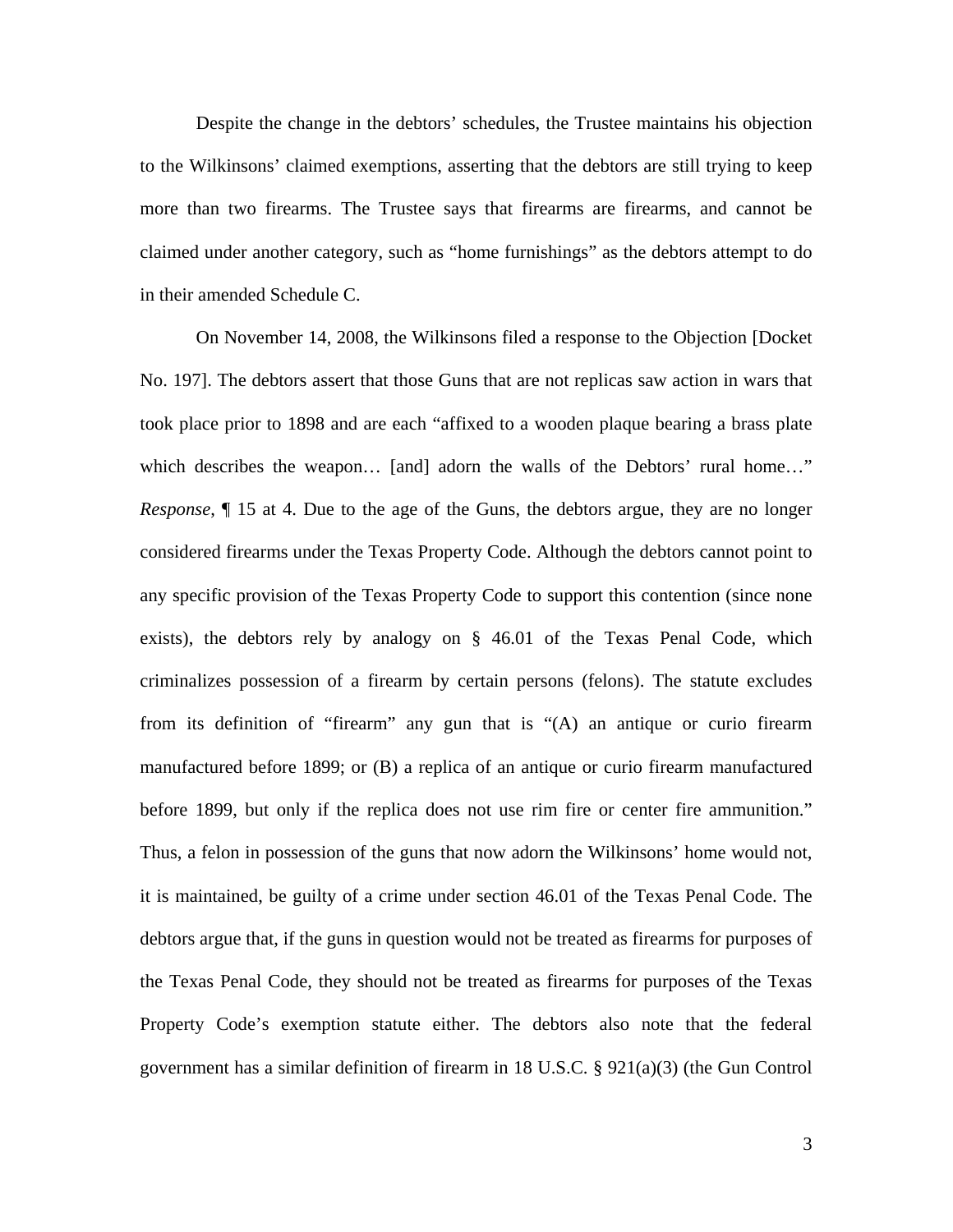Despite the change in the debtors' schedules, the Trustee maintains his objection to the Wilkinsons' claimed exemptions, asserting that the debtors are still trying to keep more than two firearms. The Trustee says that firearms are firearms, and cannot be claimed under another category, such as "home furnishings" as the debtors attempt to do in their amended Schedule C.

 On November 14, 2008, the Wilkinsons filed a response to the Objection [Docket No. 197]. The debtors assert that those Guns that are not replicas saw action in wars that took place prior to 1898 and are each "affixed to a wooden plaque bearing a brass plate which describes the weapon... [and] adorn the walls of the Debtors' rural home..." *Response*, ¶ 15 at 4. Due to the age of the Guns, the debtors argue, they are no longer considered firearms under the Texas Property Code. Although the debtors cannot point to any specific provision of the Texas Property Code to support this contention (since none exists), the debtors rely by analogy on § 46.01 of the Texas Penal Code, which criminalizes possession of a firearm by certain persons (felons). The statute excludes from its definition of "firearm" any gun that is "(A) an antique or curio firearm manufactured before 1899; or (B) a replica of an antique or curio firearm manufactured before 1899, but only if the replica does not use rim fire or center fire ammunition." Thus, a felon in possession of the guns that now adorn the Wilkinsons' home would not, it is maintained, be guilty of a crime under section 46.01 of the Texas Penal Code. The debtors argue that, if the guns in question would not be treated as firearms for purposes of the Texas Penal Code, they should not be treated as firearms for purposes of the Texas Property Code's exemption statute either. The debtors also note that the federal government has a similar definition of firearm in 18 U.S.C. §  $921(a)(3)$  (the Gun Control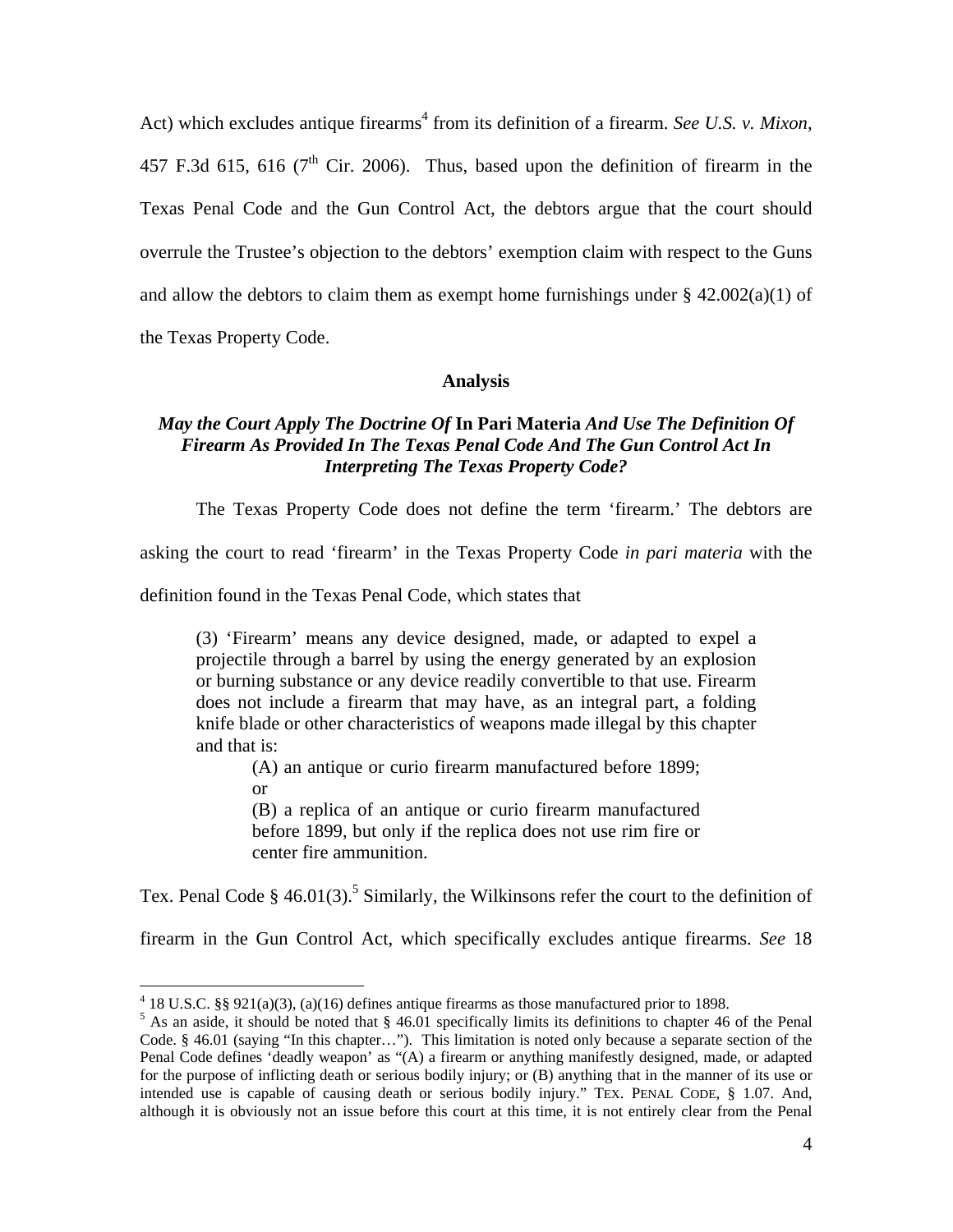Act) which excludes antique firearms<sup>4</sup> from its definition of a firearm. *See U.S. v. Mixon*, 457 F.3d 615, 616 ( $7<sup>th</sup>$  Cir. 2006). Thus, based upon the definition of firearm in the Texas Penal Code and the Gun Control Act, the debtors argue that the court should overrule the Trustee's objection to the debtors' exemption claim with respect to the Guns and allow the debtors to claim them as exempt home furnishings under  $\S$  42.002(a)(1) of

the Texas Property Code.

<u>.</u>

#### **Analysis**

### *May the Court Apply The Doctrine Of* **In Pari Materia** *And Use The Definition Of Firearm As Provided In The Texas Penal Code And The Gun Control Act In Interpreting The Texas Property Code?*

The Texas Property Code does not define the term 'firearm.' The debtors are

asking the court to read 'firearm' in the Texas Property Code *in pari materia* with the

definition found in the Texas Penal Code, which states that

(3) 'Firearm' means any device designed, made, or adapted to expel a projectile through a barrel by using the energy generated by an explosion or burning substance or any device readily convertible to that use. Firearm does not include a firearm that may have, as an integral part, a folding knife blade or other characteristics of weapons made illegal by this chapter and that is:

(A) an antique or curio firearm manufactured before 1899; or

(B) a replica of an antique or curio firearm manufactured before 1899, but only if the replica does not use rim fire or center fire ammunition.

Tex. Penal Code § 46.01(3).<sup>5</sup> Similarly, the Wilkinsons refer the court to the definition of

firearm in the Gun Control Act, which specifically excludes antique firearms. *See* 18

 $4$  18 U.S.C. §§ 921(a)(3), (a)(16) defines antique firearms as those manufactured prior to 1898.

 $<sup>5</sup>$  As an aside, it should be noted that § 46.01 specifically limits its definitions to chapter 46 of the Penal</sup> Code. § 46.01 (saying "In this chapter…"). This limitation is noted only because a separate section of the Penal Code defines 'deadly weapon' as "(A) a firearm or anything manifestly designed, made, or adapted for the purpose of inflicting death or serious bodily injury; or (B) anything that in the manner of its use or intended use is capable of causing death or serious bodily injury." TEX. PENAL CODE, § 1.07. And, although it is obviously not an issue before this court at this time, it is not entirely clear from the Penal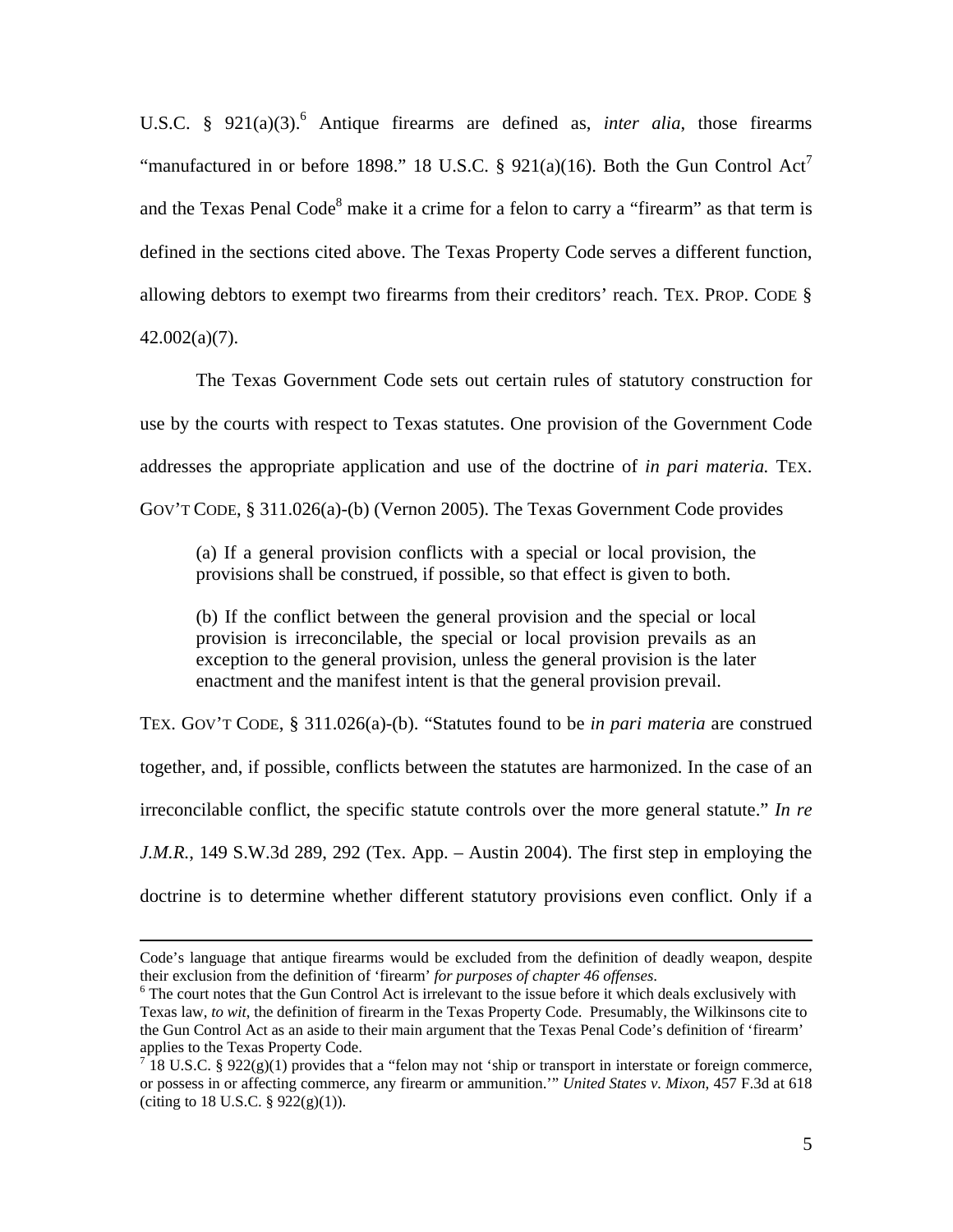U.S.C. § 921(a)(3).<sup>6</sup> Antique firearms are defined as, *inter alia*, those firearms "manufactured in or before 1898." 18 U.S.C. § 921(a)(16). Both the Gun Control Act<sup>7</sup> and the Texas Penal Code<sup>8</sup> make it a crime for a felon to carry a "firearm" as that term is defined in the sections cited above. The Texas Property Code serves a different function, allowing debtors to exempt two firearms from their creditors' reach. TEX. PROP. CODE § 42.002(a)(7).

The Texas Government Code sets out certain rules of statutory construction for use by the courts with respect to Texas statutes. One provision of the Government Code addresses the appropriate application and use of the doctrine of *in pari materia.* TEX. GOV'T CODE, § 311.026(a)-(b) (Vernon 2005). The Texas Government Code provides

(a) If a general provision conflicts with a special or local provision, the provisions shall be construed, if possible, so that effect is given to both.

(b) If the conflict between the general provision and the special or local provision is irreconcilable, the special or local provision prevails as an exception to the general provision, unless the general provision is the later enactment and the manifest intent is that the general provision prevail.

TEX. GOV'T CODE, § 311.026(a)-(b). "Statutes found to be *in pari materia* are construed together, and, if possible, conflicts between the statutes are harmonized. In the case of an irreconcilable conflict, the specific statute controls over the more general statute." *In re J.M.R.*, 149 S.W.3d 289, 292 (Tex. App. – Austin 2004). The first step in employing the doctrine is to determine whether different statutory provisions even conflict. Only if a

Code's language that antique firearms would be excluded from the definition of deadly weapon, despite their exclusion from the definition of 'firearm' *for purposes of chapter 46 offenses*. 6

<sup>&</sup>lt;sup>6</sup> The court notes that the Gun Control Act is irrelevant to the issue before it which deals exclusively with Texas law, *to wit*, the definition of firearm in the Texas Property Code. Presumably, the Wilkinsons cite to the Gun Control Act as an aside to their main argument that the Texas Penal Code's definition of 'firearm' applies to the Texas Property Code.

<sup>&</sup>lt;sup>7</sup> 18 U.S.C. § 922(g)(1) provides that a "felon may not 'ship or transport in interstate or foreign commerce, or possess in or affecting commerce, any firearm or ammunition.'" *United States v. Mixon*, 457 F.3d at 618 (citing to 18 U.S.C.  $\S 922(g)(1)$ ).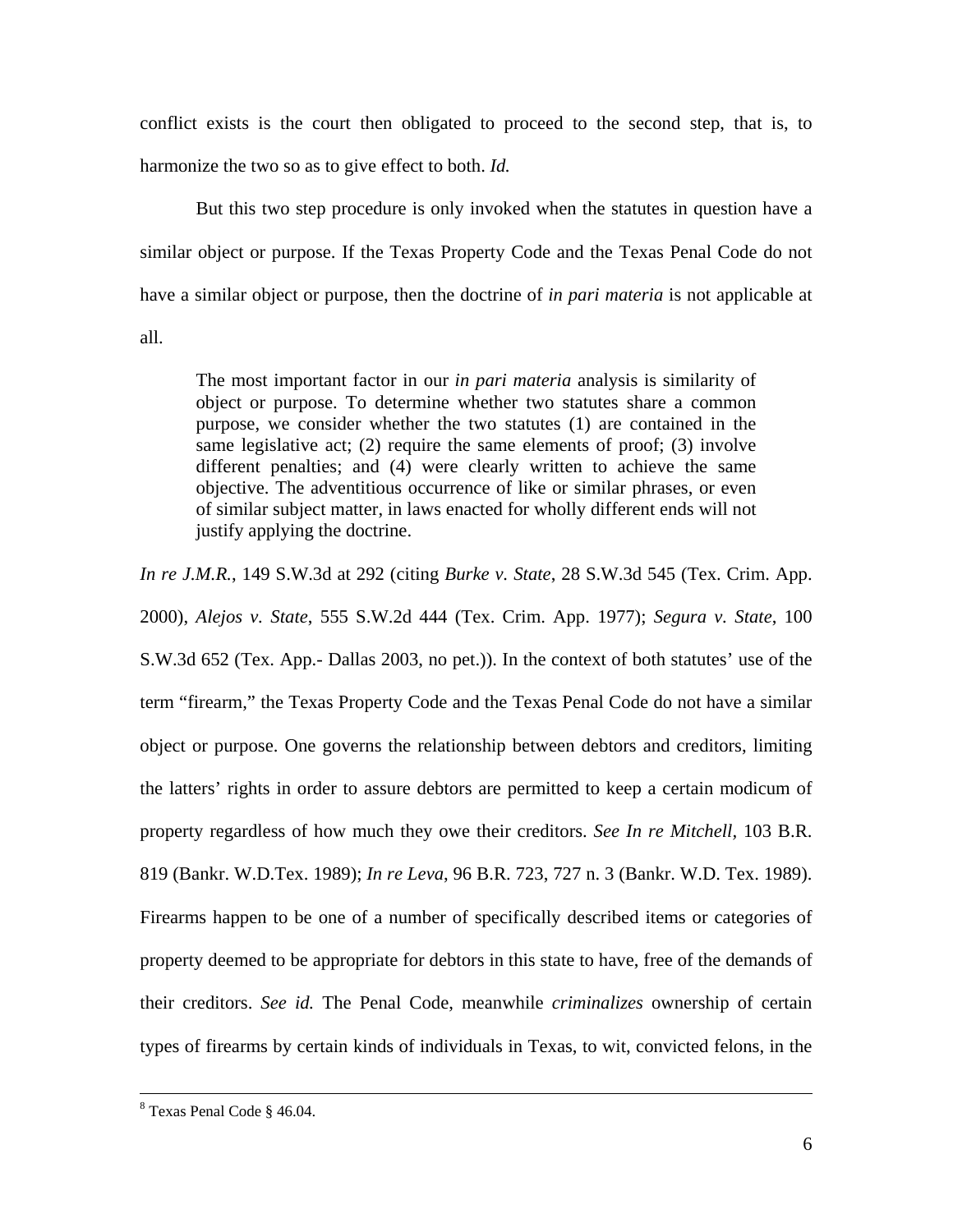conflict exists is the court then obligated to proceed to the second step, that is, to harmonize the two so as to give effect to both. *Id.*

 But this two step procedure is only invoked when the statutes in question have a similar object or purpose. If the Texas Property Code and the Texas Penal Code do not have a similar object or purpose, then the doctrine of *in pari materia* is not applicable at all.

The most important factor in our *in pari materia* analysis is similarity of object or purpose. To determine whether two statutes share a common purpose, we consider whether the two statutes (1) are contained in the same legislative act; (2) require the same elements of proof; (3) involve different penalties; and (4) were clearly written to achieve the same objective. The adventitious occurrence of like or similar phrases, or even of similar subject matter, in laws enacted for wholly different ends will not justify applying the doctrine.

*In re J.M.R.*, 149 S.W.3d at 292 (citing *Burke v. State*, 28 S.W.3d 545 (Tex. Crim. App. 2000), *Alejos v. State*, 555 S.W.2d 444 (Tex. Crim. App. 1977); *Segura v. State*, 100 S.W.3d 652 (Tex. App.- Dallas 2003, no pet.)). In the context of both statutes' use of the term "firearm," the Texas Property Code and the Texas Penal Code do not have a similar object or purpose. One governs the relationship between debtors and creditors, limiting the latters' rights in order to assure debtors are permitted to keep a certain modicum of property regardless of how much they owe their creditors. *See In re Mitchell,* 103 B.R. 819 (Bankr. W.D.Tex. 1989); *In re Leva*, 96 B.R. 723, 727 n. 3 (Bankr. W.D. Tex. 1989). Firearms happen to be one of a number of specifically described items or categories of property deemed to be appropriate for debtors in this state to have, free of the demands of their creditors. *See id.* The Penal Code, meanwhile *criminalizes* ownership of certain types of firearms by certain kinds of individuals in Texas, to wit, convicted felons, in the

 <sup>8</sup> Texas Penal Code § 46.04.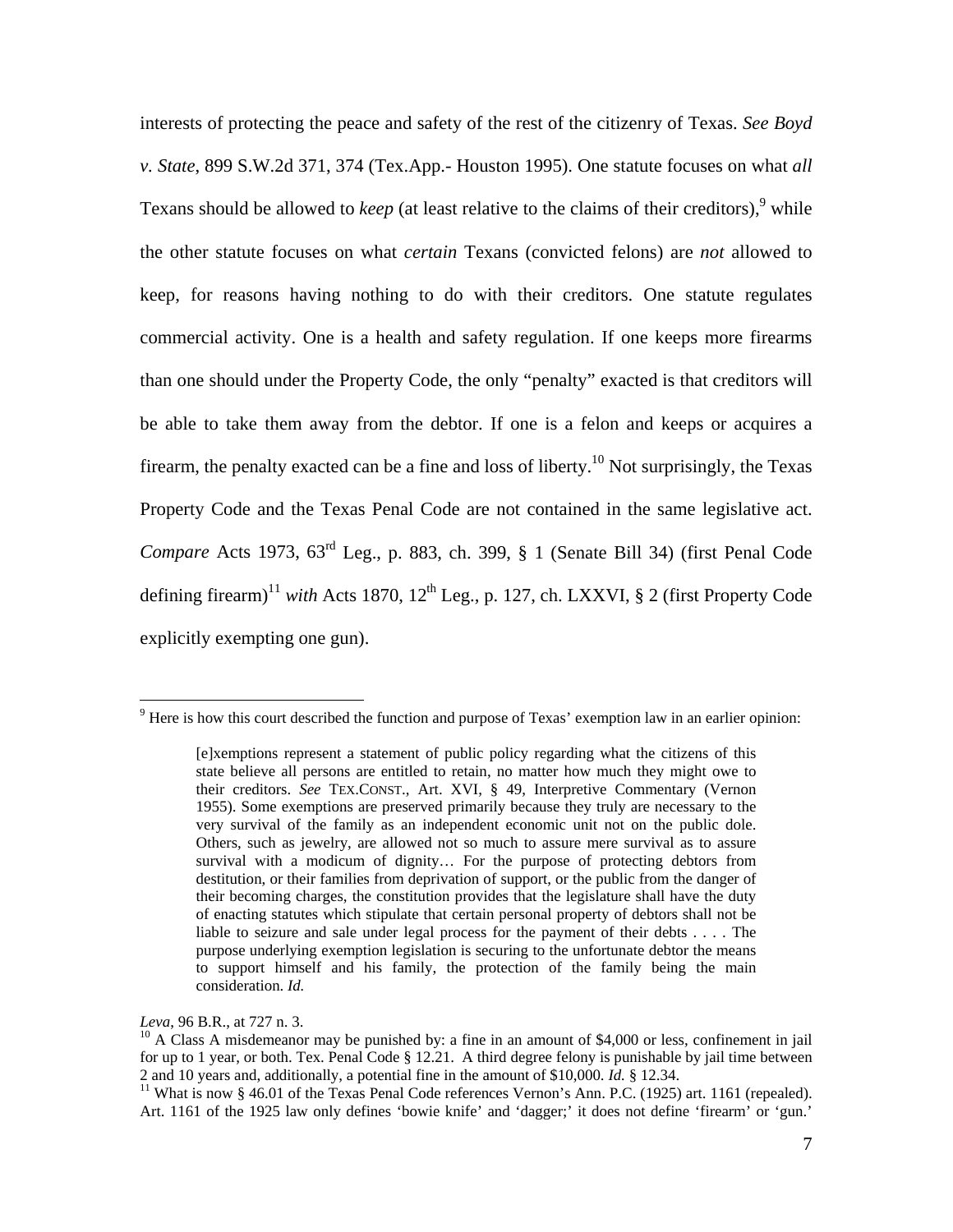interests of protecting the peace and safety of the rest of the citizenry of Texas. *See Boyd v. State*, 899 S.W.2d 371, 374 (Tex.App.- Houston 1995). One statute focuses on what *all*  Texans should be allowed to *keep* (at least relative to the claims of their creditors), <sup>9</sup> while the other statute focuses on what *certain* Texans (convicted felons) are *not* allowed to keep, for reasons having nothing to do with their creditors. One statute regulates commercial activity. One is a health and safety regulation. If one keeps more firearms than one should under the Property Code, the only "penalty" exacted is that creditors will be able to take them away from the debtor. If one is a felon and keeps or acquires a firearm, the penalty exacted can be a fine and loss of liberty.<sup>10</sup> Not surprisingly, the Texas Property Code and the Texas Penal Code are not contained in the same legislative act. *Compare* Acts 1973, 63rd Leg., p. 883, ch. 399, § 1 (Senate Bill 34) (first Penal Code defining firearm)<sup>11</sup> *with* Acts 1870,  $12<sup>th</sup>$  Leg., p. 127, ch. LXXVI, § 2 (first Property Code explicitly exempting one gun).

 $\overline{a}$ 

<sup>&</sup>lt;sup>9</sup> Here is how this court described the function and purpose of Texas' exemption law in an earlier opinion:

<sup>[</sup>e]xemptions represent a statement of public policy regarding what the citizens of this state believe all persons are entitled to retain, no matter how much they might owe to their creditors. *See* TEX.CONST., Art. XVI, § 49, Interpretive Commentary (Vernon 1955). Some exemptions are preserved primarily because they truly are necessary to the very survival of the family as an independent economic unit not on the public dole. Others, such as jewelry, are allowed not so much to assure mere survival as to assure survival with a modicum of dignity… For the purpose of protecting debtors from destitution, or their families from deprivation of support, or the public from the danger of their becoming charges, the constitution provides that the legislature shall have the duty of enacting statutes which stipulate that certain personal property of debtors shall not be liable to seizure and sale under legal process for the payment of their debts . . . . The purpose underlying exemption legislation is securing to the unfortunate debtor the means to support himself and his family, the protection of the family being the main consideration. *Id.*

*Leva*, 96 B.R., at 727 n. 3.<br><sup>10</sup> A Class A misdemeanor may be punished by: a fine in an amount of \$4,000 or less, confinement in jail for up to 1 year, or both. Tex. Penal Code  $\S$  12.21. A third degree felony is punishable by jail time between 2 and 10 years and, additionally, a potential fine in the amount of \$10,000. *Id.*  $\S$  12.34.

<sup>&</sup>lt;sup>11</sup> What is now § 46.01 of the Texas Penal Code references Vernon's Ann. P.C. (1925) art. 1161 (repealed). Art. 1161 of the 1925 law only defines 'bowie knife' and 'dagger;' it does not define 'firearm' or 'gun.'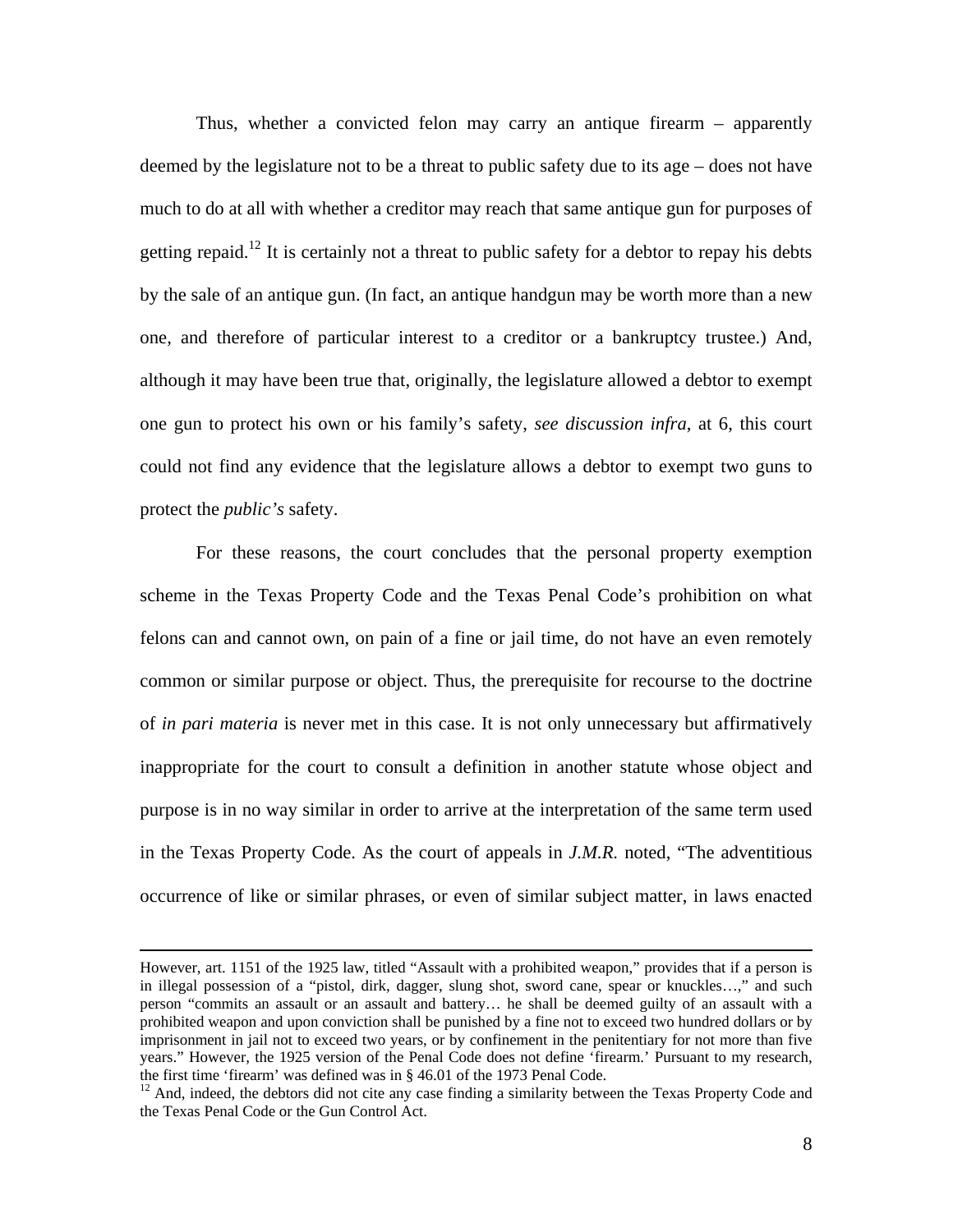Thus, whether a convicted felon may carry an antique firearm – apparently deemed by the legislature not to be a threat to public safety due to its age – does not have much to do at all with whether a creditor may reach that same antique gun for purposes of getting repaid.<sup>12</sup> It is certainly not a threat to public safety for a debtor to repay his debts by the sale of an antique gun. (In fact, an antique handgun may be worth more than a new one, and therefore of particular interest to a creditor or a bankruptcy trustee.) And, although it may have been true that, originally, the legislature allowed a debtor to exempt one gun to protect his own or his family's safety, *see discussion infra*, at 6, this court could not find any evidence that the legislature allows a debtor to exempt two guns to protect the *public's* safety.

For these reasons, the court concludes that the personal property exemption scheme in the Texas Property Code and the Texas Penal Code's prohibition on what felons can and cannot own, on pain of a fine or jail time, do not have an even remotely common or similar purpose or object. Thus, the prerequisite for recourse to the doctrine of *in pari materia* is never met in this case. It is not only unnecessary but affirmatively inappropriate for the court to consult a definition in another statute whose object and purpose is in no way similar in order to arrive at the interpretation of the same term used in the Texas Property Code. As the court of appeals in *J.M.R.* noted, "The adventitious occurrence of like or similar phrases, or even of similar subject matter, in laws enacted

However, art. 1151 of the 1925 law, titled "Assault with a prohibited weapon," provides that if a person is in illegal possession of a "pistol, dirk, dagger, slung shot, sword cane, spear or knuckles…," and such person "commits an assault or an assault and battery… he shall be deemed guilty of an assault with a prohibited weapon and upon conviction shall be punished by a fine not to exceed two hundred dollars or by imprisonment in jail not to exceed two years, or by confinement in the penitentiary for not more than five years." However, the 1925 version of the Penal Code does not define 'firearm.' Pursuant to my research, the first time 'firearm' was defined was in § 46.01 of the 1973 Penal Code.

<sup>&</sup>lt;sup>12</sup> And, indeed, the debtors did not cite any case finding a similarity between the Texas Property Code and the Texas Penal Code or the Gun Control Act.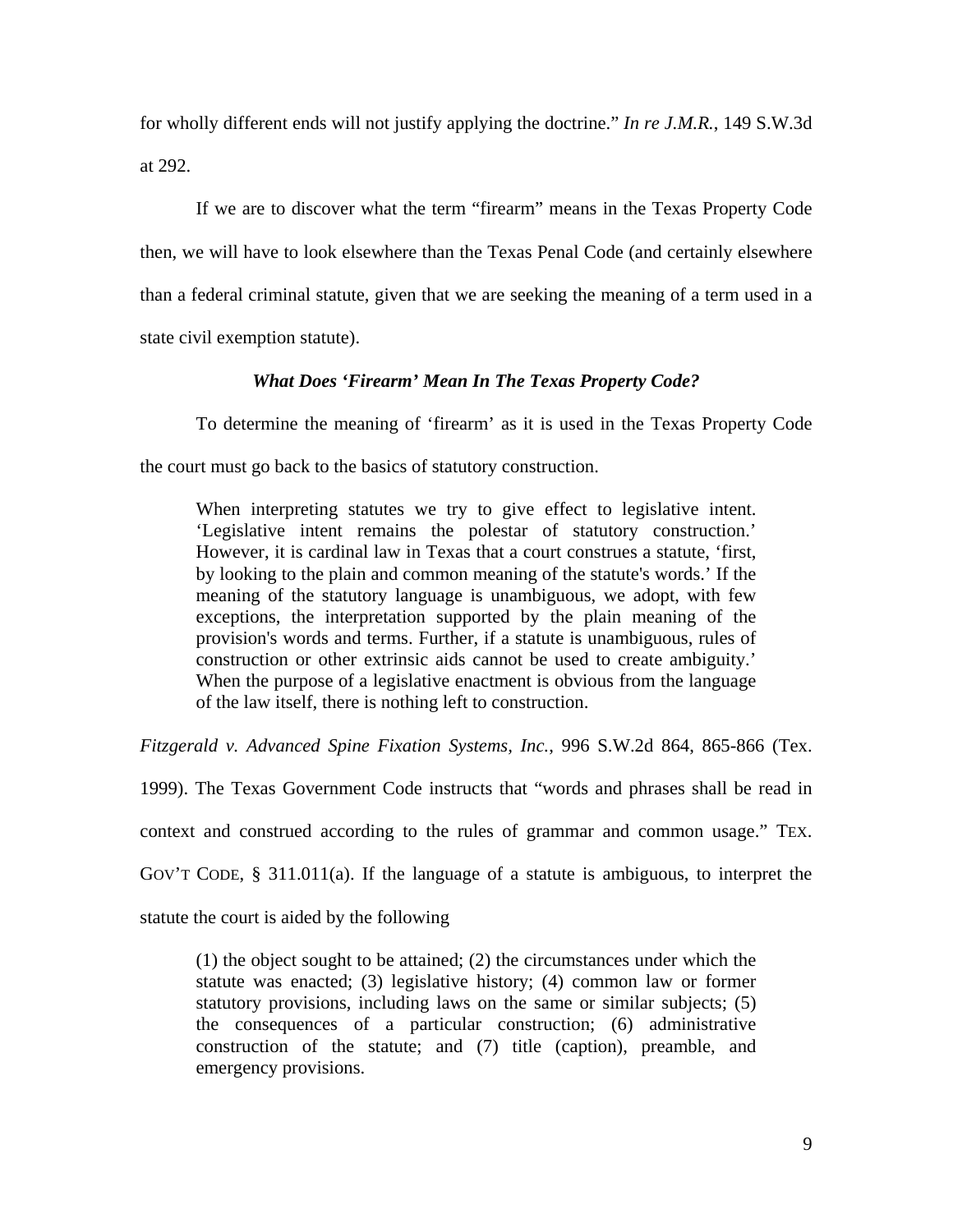for wholly different ends will not justify applying the doctrine." *In re J.M.R.*, 149 S.W.3d at 292.

If we are to discover what the term "firearm" means in the Texas Property Code then, we will have to look elsewhere than the Texas Penal Code (and certainly elsewhere than a federal criminal statute, given that we are seeking the meaning of a term used in a state civil exemption statute).

#### *What Does 'Firearm' Mean In The Texas Property Code?*

 To determine the meaning of 'firearm' as it is used in the Texas Property Code the court must go back to the basics of statutory construction.

When interpreting statutes we try to give effect to legislative intent. 'Legislative intent remains the polestar of statutory construction.' However, it is cardinal law in Texas that a court construes a statute, 'first, by looking to the plain and common meaning of the statute's words.' If the meaning of the statutory language is unambiguous, we adopt, with few exceptions, the interpretation supported by the plain meaning of the provision's words and terms. Further, if a statute is unambiguous, rules of construction or other extrinsic aids cannot be used to create ambiguity.' When the purpose of a legislative enactment is obvious from the language of the law itself, there is nothing left to construction.

*Fitzgerald v. Advanced Spine Fixation Systems, Inc.*, 996 S.W.2d 864, 865-866 (Tex.

1999). The Texas Government Code instructs that "words and phrases shall be read in

context and construed according to the rules of grammar and common usage." TEX.

GOV'T CODE, § 311.011(a). If the language of a statute is ambiguous, to interpret the

statute the court is aided by the following

(1) the object sought to be attained; (2) the circumstances under which the statute was enacted; (3) legislative history; (4) common law or former statutory provisions, including laws on the same or similar subjects; (5) the consequences of a particular construction; (6) administrative construction of the statute; and (7) title (caption), preamble, and emergency provisions.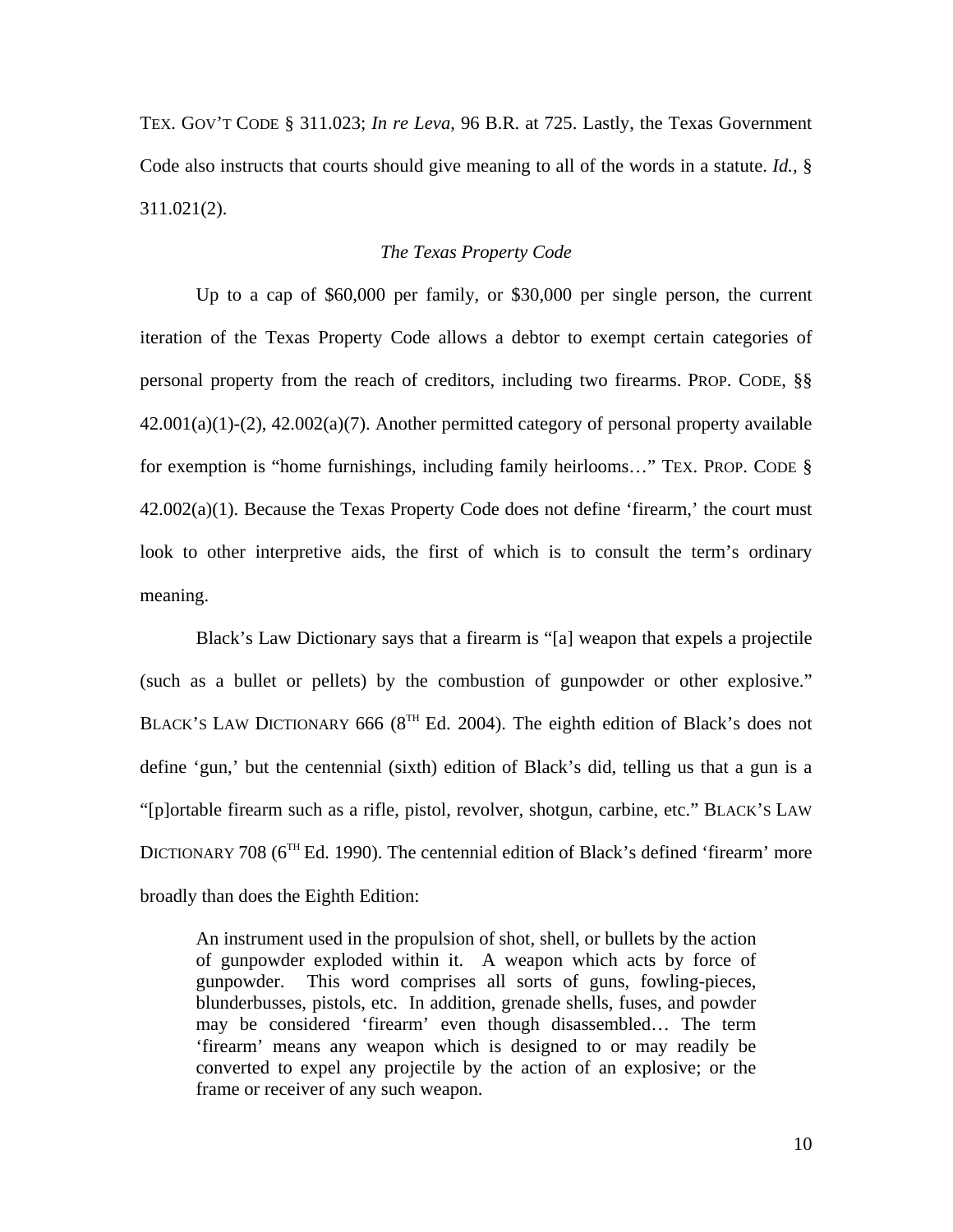TEX. GOV'T CODE § 311.023; *In re Leva*, 96 B.R. at 725. Lastly, the Texas Government Code also instructs that courts should give meaning to all of the words in a statute. *Id.,* § 311.021(2).

#### *The Texas Property Code*

 Up to a cap of \$60,000 per family, or \$30,000 per single person, the current iteration of the Texas Property Code allows a debtor to exempt certain categories of personal property from the reach of creditors, including two firearms. PROP. CODE, §§  $42.001(a)(1)-(2)$ ,  $42.002(a)(7)$ . Another permitted category of personal property available for exemption is "home furnishings, including family heirlooms…" TEX. PROP. CODE § 42.002(a)(1). Because the Texas Property Code does not define 'firearm,' the court must look to other interpretive aids, the first of which is to consult the term's ordinary meaning.

Black's Law Dictionary says that a firearm is "[a] weapon that expels a projectile (such as a bullet or pellets) by the combustion of gunpowder or other explosive." BLACK'S LAW DICTIONARY 666 ( $8^{TH}$  Ed. 2004). The eighth edition of Black's does not define 'gun,' but the centennial (sixth) edition of Black's did, telling us that a gun is a "[p]ortable firearm such as a rifle, pistol, revolver, shotgun, carbine, etc." BLACK'S LAW DICTIONARY 708 ( $6<sup>TH</sup> Ed.$  1990). The centennial edition of Black's defined 'firearm' more broadly than does the Eighth Edition:

An instrument used in the propulsion of shot, shell, or bullets by the action of gunpowder exploded within it. A weapon which acts by force of gunpowder. This word comprises all sorts of guns, fowling-pieces, blunderbusses, pistols, etc. In addition, grenade shells, fuses, and powder may be considered 'firearm' even though disassembled… The term 'firearm' means any weapon which is designed to or may readily be converted to expel any projectile by the action of an explosive; or the frame or receiver of any such weapon.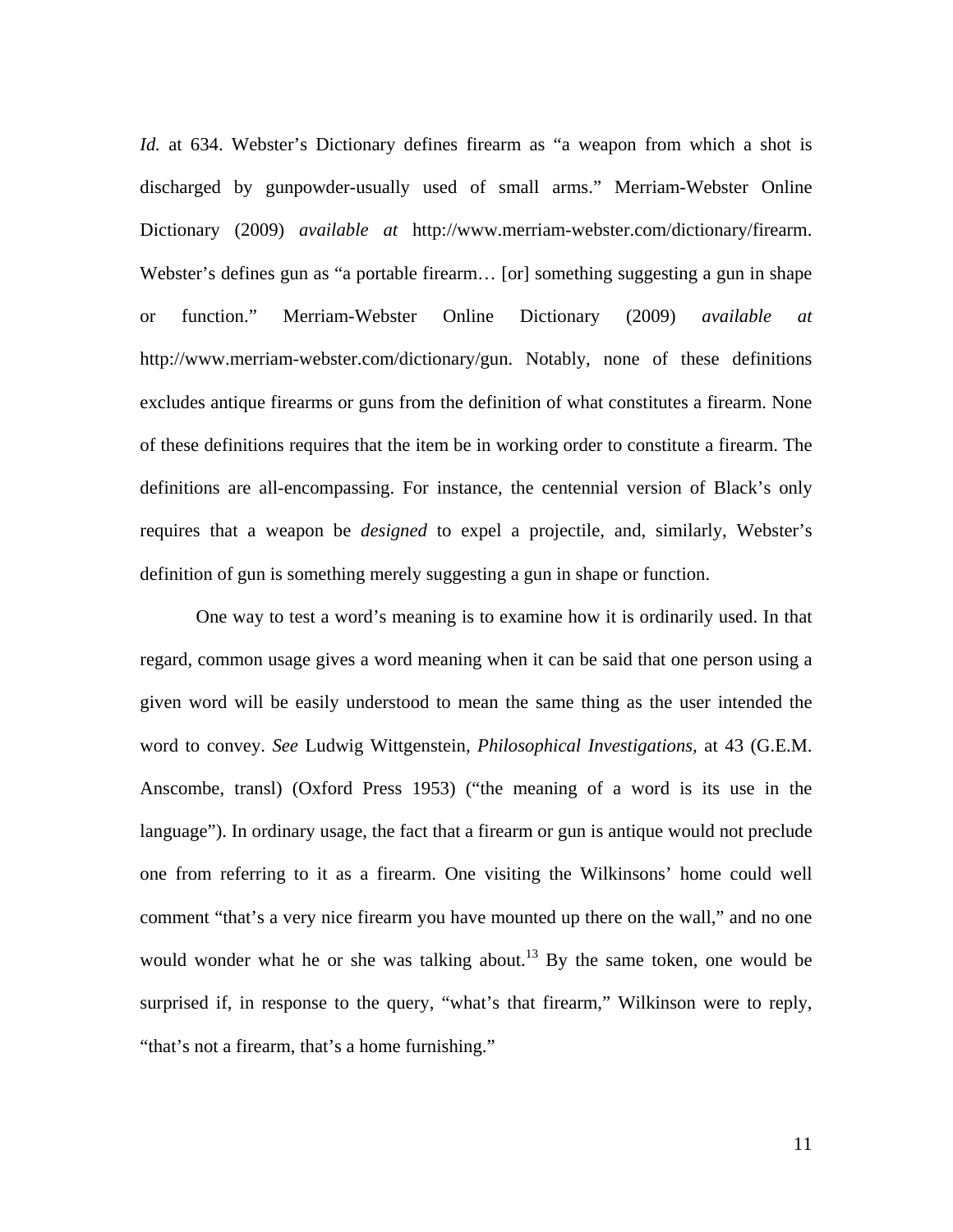*Id.* at 634. Webster's Dictionary defines firearm as "a weapon from which a shot is discharged by gunpowder-usually used of small arms." Merriam-Webster Online Dictionary (2009) *available at* http://www.merriam-webster.com/dictionary/firearm. Webster's defines gun as "a portable firearm… [or] something suggesting a gun in shape or function." Merriam-Webster Online Dictionary (2009) *available at*  http://www.merriam-webster.com/dictionary/gun. Notably, none of these definitions excludes antique firearms or guns from the definition of what constitutes a firearm. None of these definitions requires that the item be in working order to constitute a firearm. The definitions are all-encompassing. For instance, the centennial version of Black's only requires that a weapon be *designed* to expel a projectile, and, similarly, Webster's definition of gun is something merely suggesting a gun in shape or function.

One way to test a word's meaning is to examine how it is ordinarily used. In that regard, common usage gives a word meaning when it can be said that one person using a given word will be easily understood to mean the same thing as the user intended the word to convey. *See* Ludwig Wittgenstein, *Philosophical Investigations,* at 43 (G.E.M. Anscombe, transl) (Oxford Press 1953) ("the meaning of a word is its use in the language"). In ordinary usage, the fact that a firearm or gun is antique would not preclude one from referring to it as a firearm. One visiting the Wilkinsons' home could well comment "that's a very nice firearm you have mounted up there on the wall," and no one would wonder what he or she was talking about.<sup>13</sup> By the same token, one would be surprised if, in response to the query, "what's that firearm," Wilkinson were to reply, "that's not a firearm, that's a home furnishing."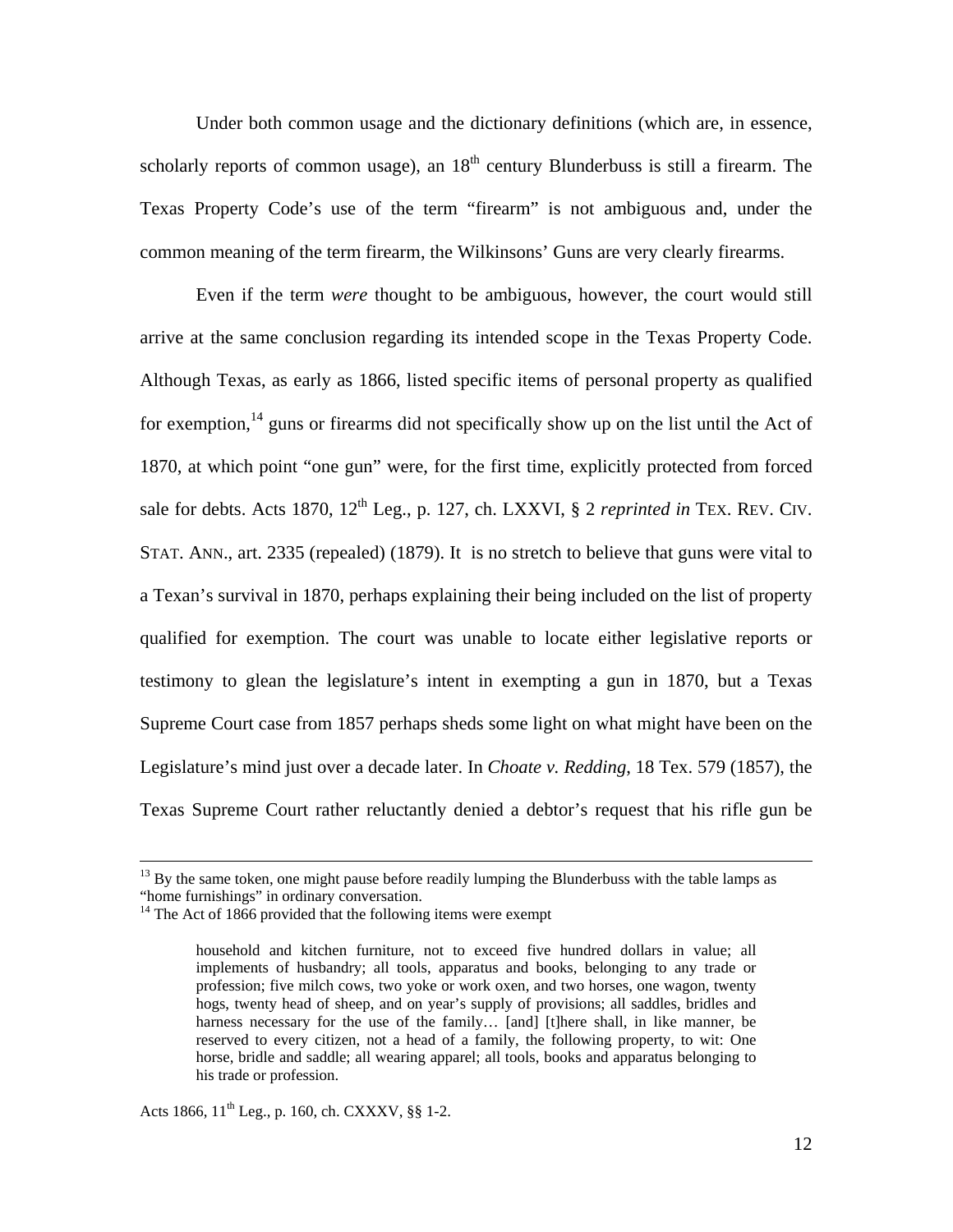Under both common usage and the dictionary definitions (which are, in essence, scholarly reports of common usage), an  $18<sup>th</sup>$  century Blunderbuss is still a firearm. The Texas Property Code's use of the term "firearm" is not ambiguous and, under the common meaning of the term firearm, the Wilkinsons' Guns are very clearly firearms.

Even if the term *were* thought to be ambiguous, however, the court would still arrive at the same conclusion regarding its intended scope in the Texas Property Code. Although Texas, as early as 1866, listed specific items of personal property as qualified for exemption,  $14$  guns or firearms did not specifically show up on the list until the Act of 1870, at which point "one gun" were, for the first time, explicitly protected from forced sale for debts. Acts 1870,  $12^{th}$  Leg., p. 127, ch. LXXVI, § 2 *reprinted in* TEX. REV. CIV. STAT. ANN., art. 2335 (repealed) (1879). It is no stretch to believe that guns were vital to a Texan's survival in 1870, perhaps explaining their being included on the list of property qualified for exemption. The court was unable to locate either legislative reports or testimony to glean the legislature's intent in exempting a gun in 1870, but a Texas Supreme Court case from 1857 perhaps sheds some light on what might have been on the Legislature's mind just over a decade later. In *Choate v. Redding*, 18 Tex. 579 (1857), the Texas Supreme Court rather reluctantly denied a debtor's request that his rifle gun be

Acts 1866,  $11^{th}$  Leg., p. 160, ch. CXXXV, §§ 1-2.

<sup>&</sup>lt;sup>13</sup> By the same token, one might pause before readily lumping the Blunderbuss with the table lamps as "home furnishings" in ordinary conversation.

 $14$  The Act of 1866 provided that the following items were exempt

household and kitchen furniture, not to exceed five hundred dollars in value; all implements of husbandry; all tools, apparatus and books, belonging to any trade or profession; five milch cows, two yoke or work oxen, and two horses, one wagon, twenty hogs, twenty head of sheep, and on year's supply of provisions; all saddles, bridles and harness necessary for the use of the family... [and] [t]here shall, in like manner, be reserved to every citizen, not a head of a family, the following property, to wit: One horse, bridle and saddle; all wearing apparel; all tools, books and apparatus belonging to his trade or profession.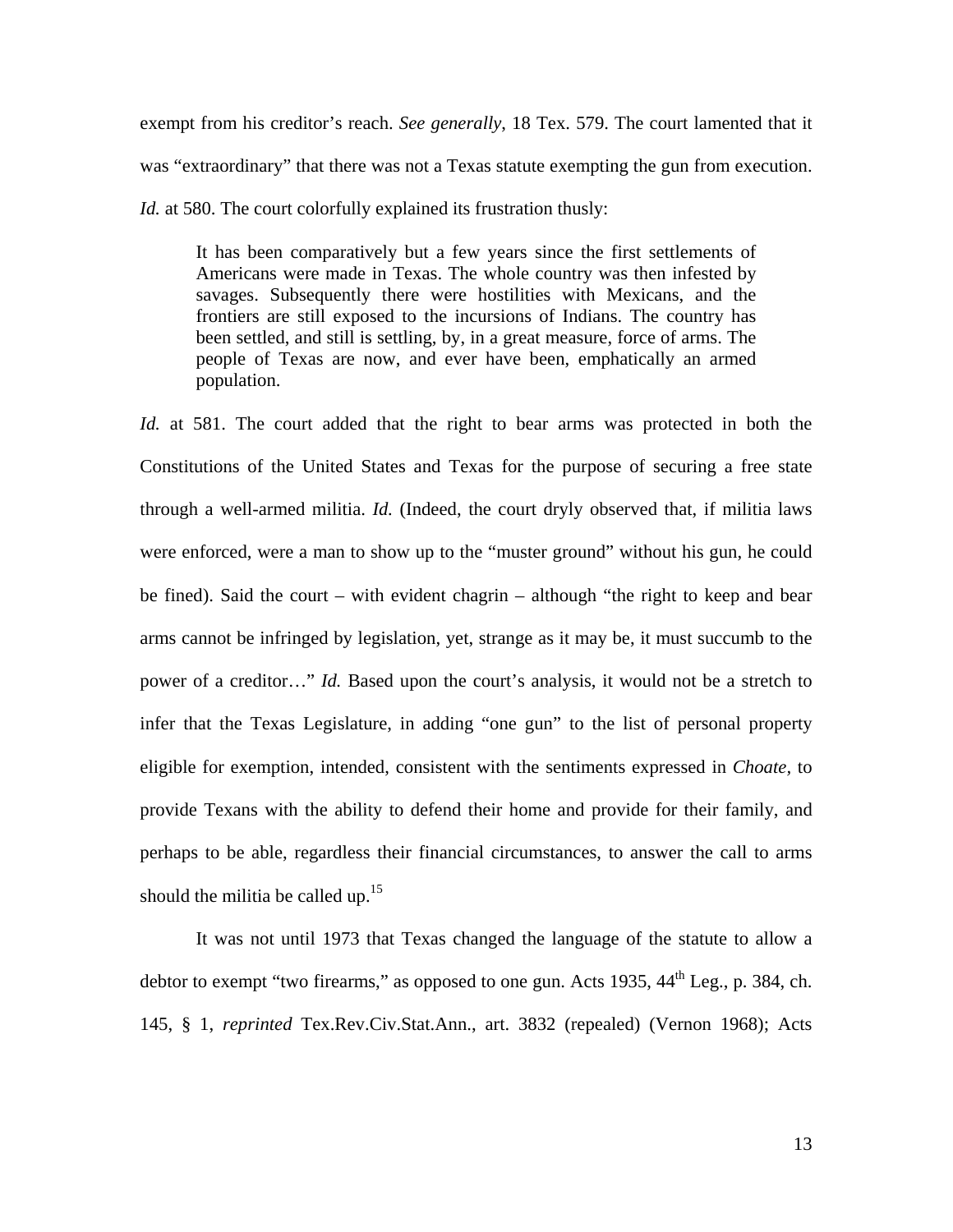exempt from his creditor's reach. *See generally*, 18 Tex. 579. The court lamented that it was "extraordinary" that there was not a Texas statute exempting the gun from execution. *Id.* at 580. The court colorfully explained its frustration thusly:

It has been comparatively but a few years since the first settlements of Americans were made in Texas. The whole country was then infested by savages. Subsequently there were hostilities with Mexicans, and the frontiers are still exposed to the incursions of Indians. The country has been settled, and still is settling, by, in a great measure, force of arms. The people of Texas are now, and ever have been, emphatically an armed population.

*Id.* at 581. The court added that the right to bear arms was protected in both the Constitutions of the United States and Texas for the purpose of securing a free state through a well-armed militia. *Id.* (Indeed, the court dryly observed that, if militia laws were enforced, were a man to show up to the "muster ground" without his gun, he could be fined). Said the court – with evident chagrin – although "the right to keep and bear arms cannot be infringed by legislation, yet, strange as it may be, it must succumb to the power of a creditor…" *Id.* Based upon the court's analysis, it would not be a stretch to infer that the Texas Legislature, in adding "one gun" to the list of personal property eligible for exemption, intended, consistent with the sentiments expressed in *Choate,* to provide Texans with the ability to defend their home and provide for their family, and perhaps to be able, regardless their financial circumstances, to answer the call to arms should the militia be called up. $15$ 

It was not until 1973 that Texas changed the language of the statute to allow a debtor to exempt "two firearms," as opposed to one gun. Acts 1935,  $44<sup>th</sup>$  Leg., p. 384, ch. 145, § 1, *reprinted* Tex.Rev.Civ.Stat.Ann., art. 3832 (repealed) (Vernon 1968); Acts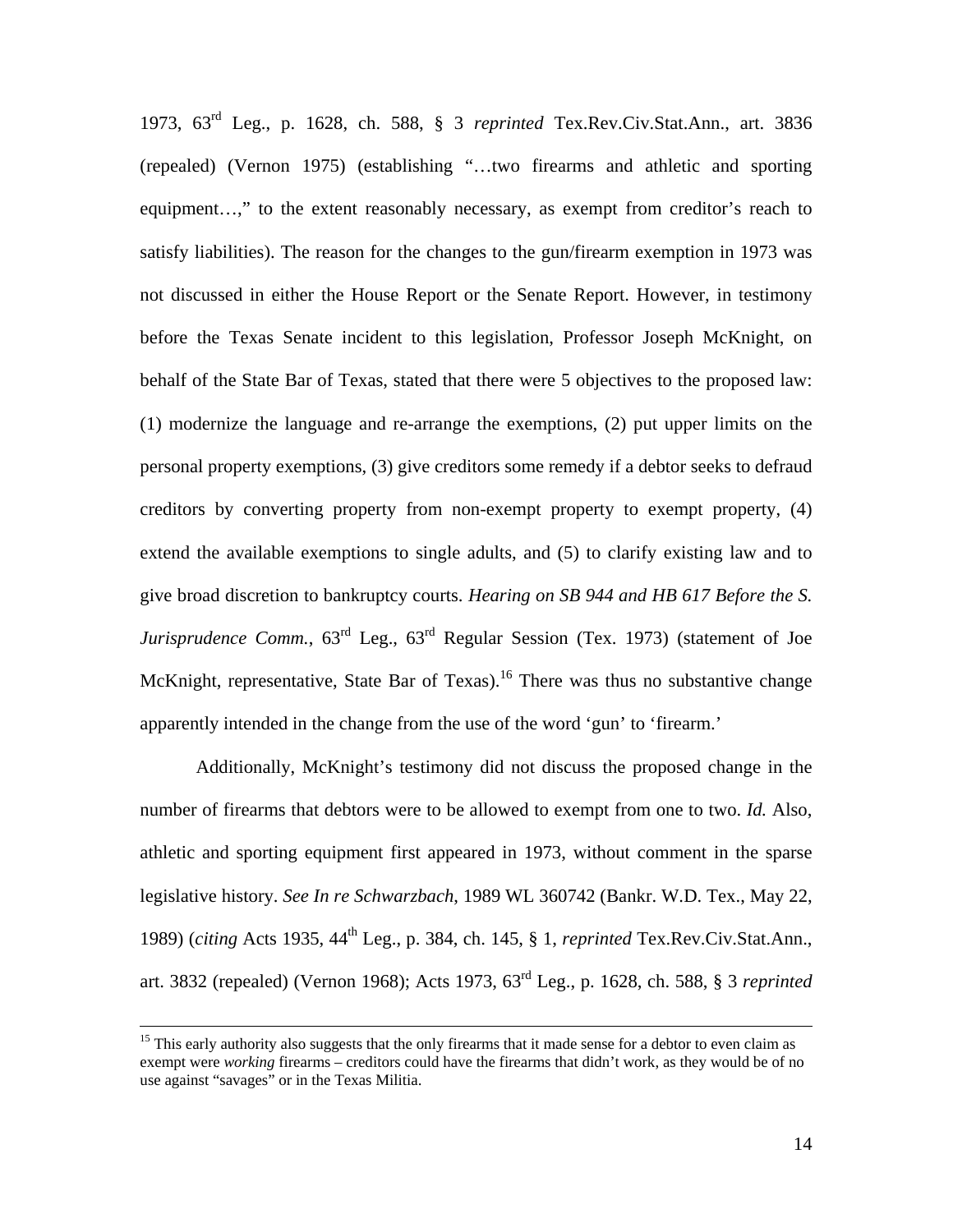1973, 63rd Leg., p. 1628, ch. 588, § 3 *reprinted* Tex.Rev.Civ.Stat.Ann., art. 3836 (repealed) (Vernon 1975) (establishing "…two firearms and athletic and sporting equipment…," to the extent reasonably necessary, as exempt from creditor's reach to satisfy liabilities). The reason for the changes to the gun/firearm exemption in 1973 was not discussed in either the House Report or the Senate Report. However, in testimony before the Texas Senate incident to this legislation, Professor Joseph McKnight, on behalf of the State Bar of Texas, stated that there were 5 objectives to the proposed law: (1) modernize the language and re-arrange the exemptions, (2) put upper limits on the personal property exemptions, (3) give creditors some remedy if a debtor seeks to defraud creditors by converting property from non-exempt property to exempt property, (4) extend the available exemptions to single adults, and (5) to clarify existing law and to give broad discretion to bankruptcy courts. *Hearing on SB 944 and HB 617 Before the S. Jurisprudence Comm.*,  $63^{rd}$  Leg.,  $63^{rd}$  Regular Session (Tex. 1973) (statement of Joe McKnight, representative, State Bar of Texas).<sup>16</sup> There was thus no substantive change apparently intended in the change from the use of the word 'gun' to 'firearm.'

Additionally, McKnight's testimony did not discuss the proposed change in the number of firearms that debtors were to be allowed to exempt from one to two. *Id.* Also, athletic and sporting equipment first appeared in 1973, without comment in the sparse legislative history. *See In re Schwarzbach*, 1989 WL 360742 (Bankr. W.D. Tex., May 22, 1989) (*citing* Acts 1935, 44th Leg., p. 384, ch. 145, § 1, *reprinted* Tex.Rev.Civ.Stat.Ann., art. 3832 (repealed) (Vernon 1968); Acts 1973, 63rd Leg., p. 1628, ch. 588, § 3 *reprinted* 

<sup>&</sup>lt;sup>15</sup> This early authority also suggests that the only firearms that it made sense for a debtor to even claim as exempt were *working* firearms – creditors could have the firearms that didn't work, as they would be of no use against "savages" or in the Texas Militia.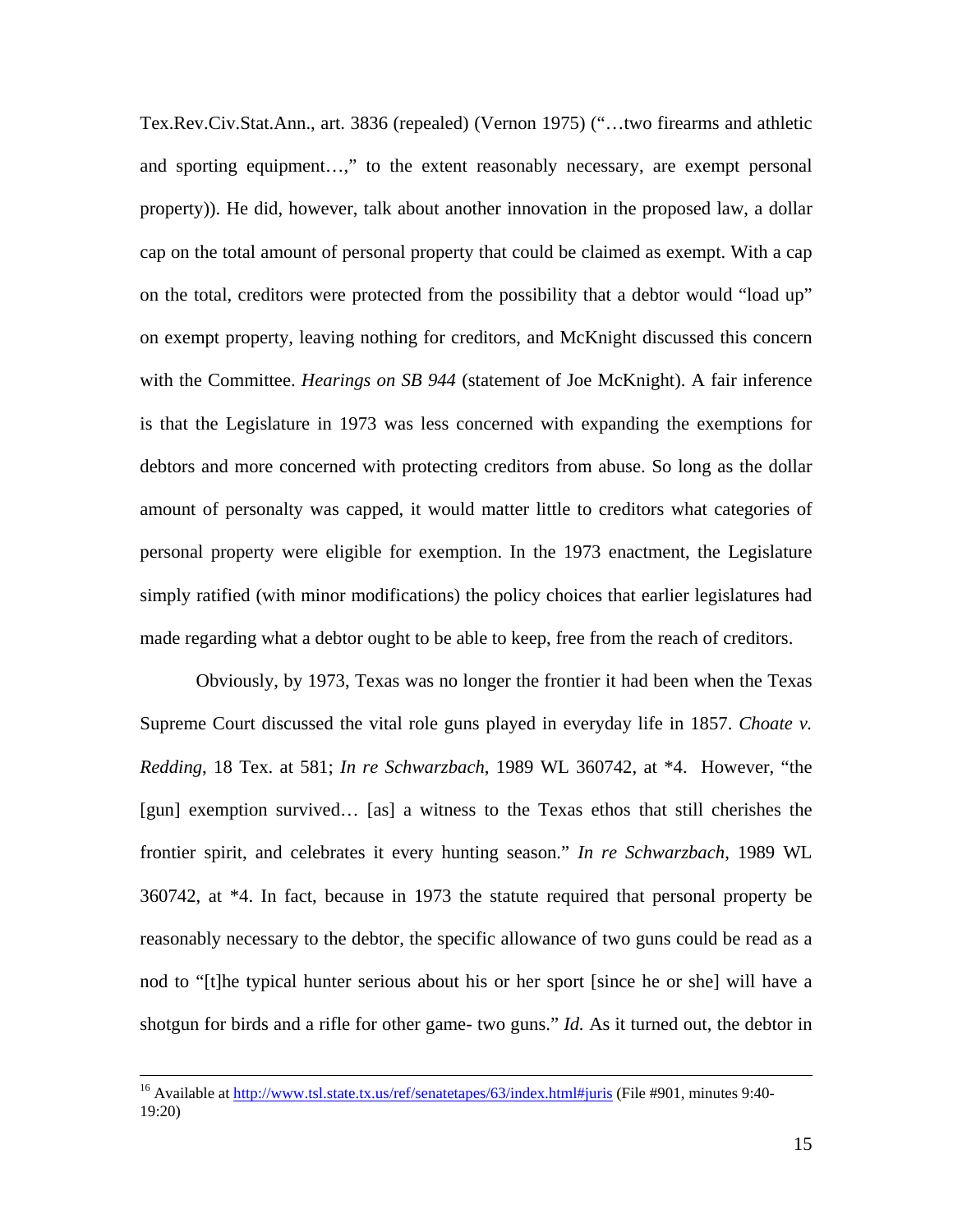Tex.Rev.Civ.Stat.Ann., art. 3836 (repealed) (Vernon 1975) ("…two firearms and athletic and sporting equipment…," to the extent reasonably necessary, are exempt personal property)). He did, however, talk about another innovation in the proposed law, a dollar cap on the total amount of personal property that could be claimed as exempt. With a cap on the total, creditors were protected from the possibility that a debtor would "load up" on exempt property, leaving nothing for creditors, and McKnight discussed this concern with the Committee. *Hearings on SB 944* (statement of Joe McKnight). A fair inference is that the Legislature in 1973 was less concerned with expanding the exemptions for debtors and more concerned with protecting creditors from abuse. So long as the dollar amount of personalty was capped, it would matter little to creditors what categories of personal property were eligible for exemption. In the 1973 enactment, the Legislature simply ratified (with minor modifications) the policy choices that earlier legislatures had made regarding what a debtor ought to be able to keep, free from the reach of creditors.

Obviously, by 1973, Texas was no longer the frontier it had been when the Texas Supreme Court discussed the vital role guns played in everyday life in 1857. *Choate v. Redding*, 18 Tex. at 581; *In re Schwarzbach*, 1989 WL 360742, at \*4. However, "the [gun] exemption survived… [as] a witness to the Texas ethos that still cherishes the frontier spirit, and celebrates it every hunting season." *In re Schwarzbach*, 1989 WL 360742, at \*4. In fact, because in 1973 the statute required that personal property be reasonably necessary to the debtor, the specific allowance of two guns could be read as a nod to "[t]he typical hunter serious about his or her sport [since he or she] will have a shotgun for birds and a rifle for other game- two guns." *Id.* As it turned out, the debtor in

<sup>&</sup>lt;sup>16</sup> Available at http://www.tsl.state.tx.us/ref/senatetapes/63/index.html#juris (File #901, minutes 9:40-19:20)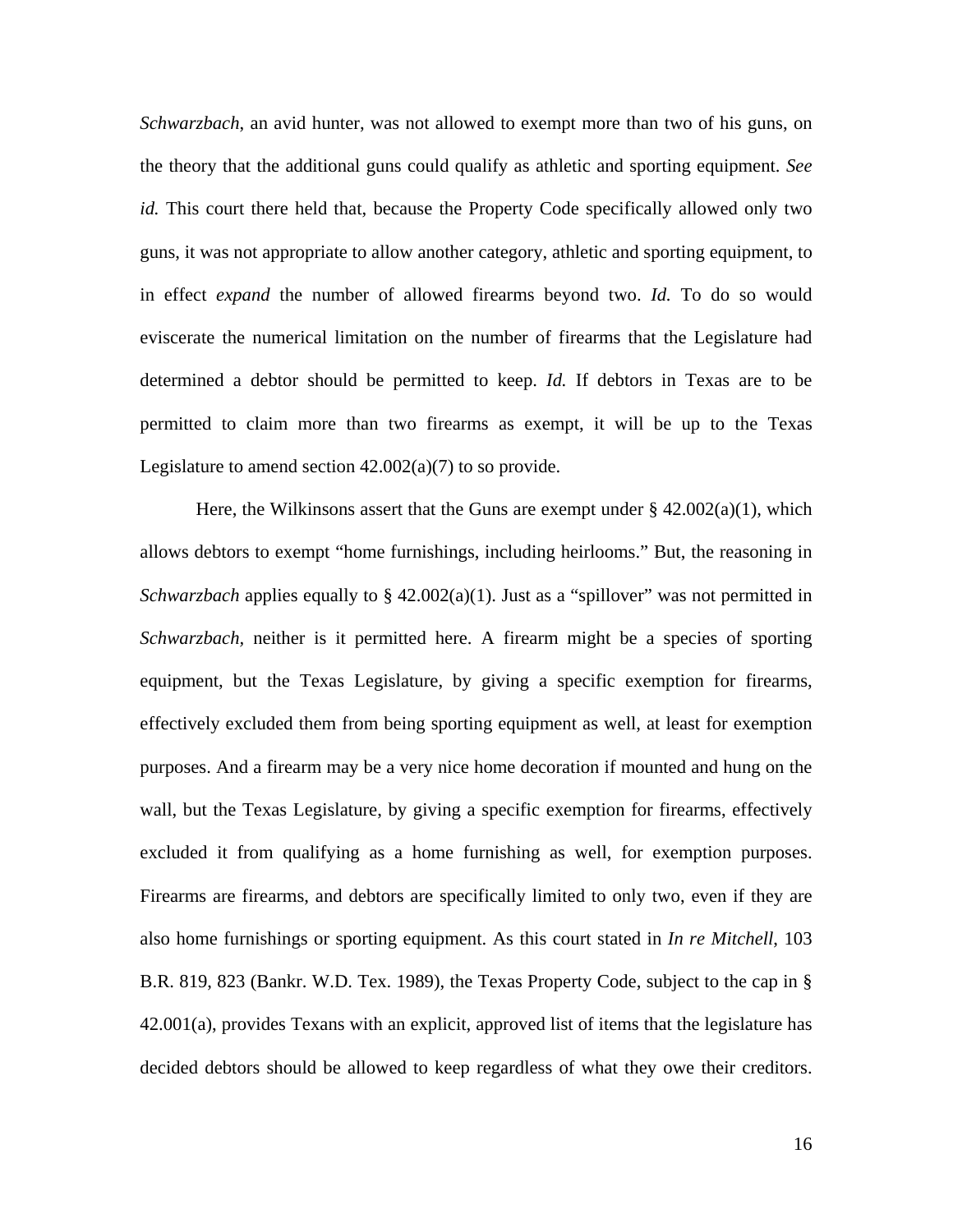*Schwarzbach*, an avid hunter, was not allowed to exempt more than two of his guns, on the theory that the additional guns could qualify as athletic and sporting equipment. *See id.* This court there held that, because the Property Code specifically allowed only two guns, it was not appropriate to allow another category, athletic and sporting equipment, to in effect *expand* the number of allowed firearms beyond two. *Id.* To do so would eviscerate the numerical limitation on the number of firearms that the Legislature had determined a debtor should be permitted to keep. *Id.* If debtors in Texas are to be permitted to claim more than two firearms as exempt, it will be up to the Texas Legislature to amend section  $42.002(a)(7)$  to so provide.

Here, the Wilkinsons assert that the Guns are exempt under  $\S$  42.002(a)(1), which allows debtors to exempt "home furnishings, including heirlooms." But, the reasoning in *Schwarzbach* applies equally to  $\S$  42.002(a)(1). Just as a "spillover" was not permitted in *Schwarzbach,* neither is it permitted here. A firearm might be a species of sporting equipment, but the Texas Legislature, by giving a specific exemption for firearms, effectively excluded them from being sporting equipment as well, at least for exemption purposes. And a firearm may be a very nice home decoration if mounted and hung on the wall, but the Texas Legislature, by giving a specific exemption for firearms, effectively excluded it from qualifying as a home furnishing as well, for exemption purposes. Firearms are firearms, and debtors are specifically limited to only two, even if they are also home furnishings or sporting equipment. As this court stated in *In re Mitchell*, 103 B.R. 819, 823 (Bankr. W.D. Tex. 1989), the Texas Property Code, subject to the cap in § 42.001(a), provides Texans with an explicit, approved list of items that the legislature has decided debtors should be allowed to keep regardless of what they owe their creditors.